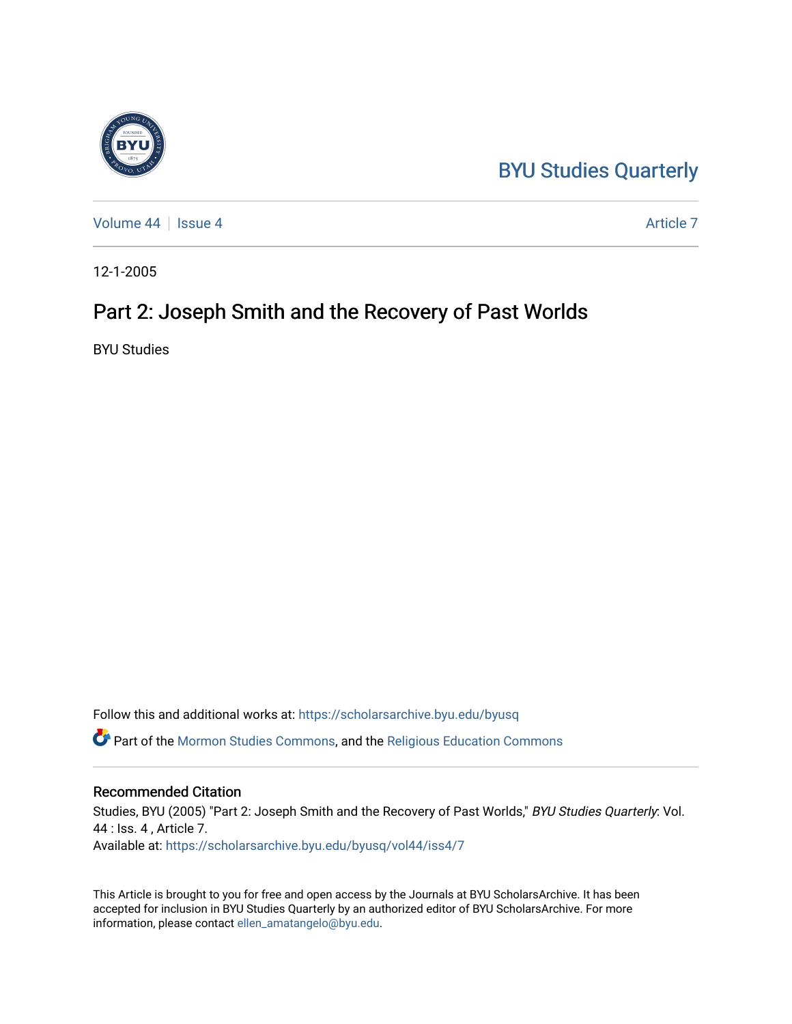## [BYU Studies Quarterly](https://scholarsarchive.byu.edu/byusq)



[Volume 44](https://scholarsarchive.byu.edu/byusq/vol44) | [Issue 4](https://scholarsarchive.byu.edu/byusq/vol44/iss4) Article 7

12-1-2005

### Part 2: Joseph Smith and the Recovery of Past Worlds

BYU Studies

Follow this and additional works at: [https://scholarsarchive.byu.edu/byusq](https://scholarsarchive.byu.edu/byusq?utm_source=scholarsarchive.byu.edu%2Fbyusq%2Fvol44%2Fiss4%2F7&utm_medium=PDF&utm_campaign=PDFCoverPages) 

Part of the [Mormon Studies Commons](http://network.bepress.com/hgg/discipline/1360?utm_source=scholarsarchive.byu.edu%2Fbyusq%2Fvol44%2Fiss4%2F7&utm_medium=PDF&utm_campaign=PDFCoverPages), and the [Religious Education Commons](http://network.bepress.com/hgg/discipline/1414?utm_source=scholarsarchive.byu.edu%2Fbyusq%2Fvol44%2Fiss4%2F7&utm_medium=PDF&utm_campaign=PDFCoverPages) 

#### Recommended Citation

Studies, BYU (2005) "Part 2: Joseph Smith and the Recovery of Past Worlds," BYU Studies Quarterly: Vol. 44 : Iss. 4 , Article 7. Available at: [https://scholarsarchive.byu.edu/byusq/vol44/iss4/7](https://scholarsarchive.byu.edu/byusq/vol44/iss4/7?utm_source=scholarsarchive.byu.edu%2Fbyusq%2Fvol44%2Fiss4%2F7&utm_medium=PDF&utm_campaign=PDFCoverPages)

This Article is brought to you for free and open access by the Journals at BYU ScholarsArchive. It has been accepted for inclusion in BYU Studies Quarterly by an authorized editor of BYU ScholarsArchive. For more information, please contact [ellen\\_amatangelo@byu.edu.](mailto:ellen_amatangelo@byu.edu)